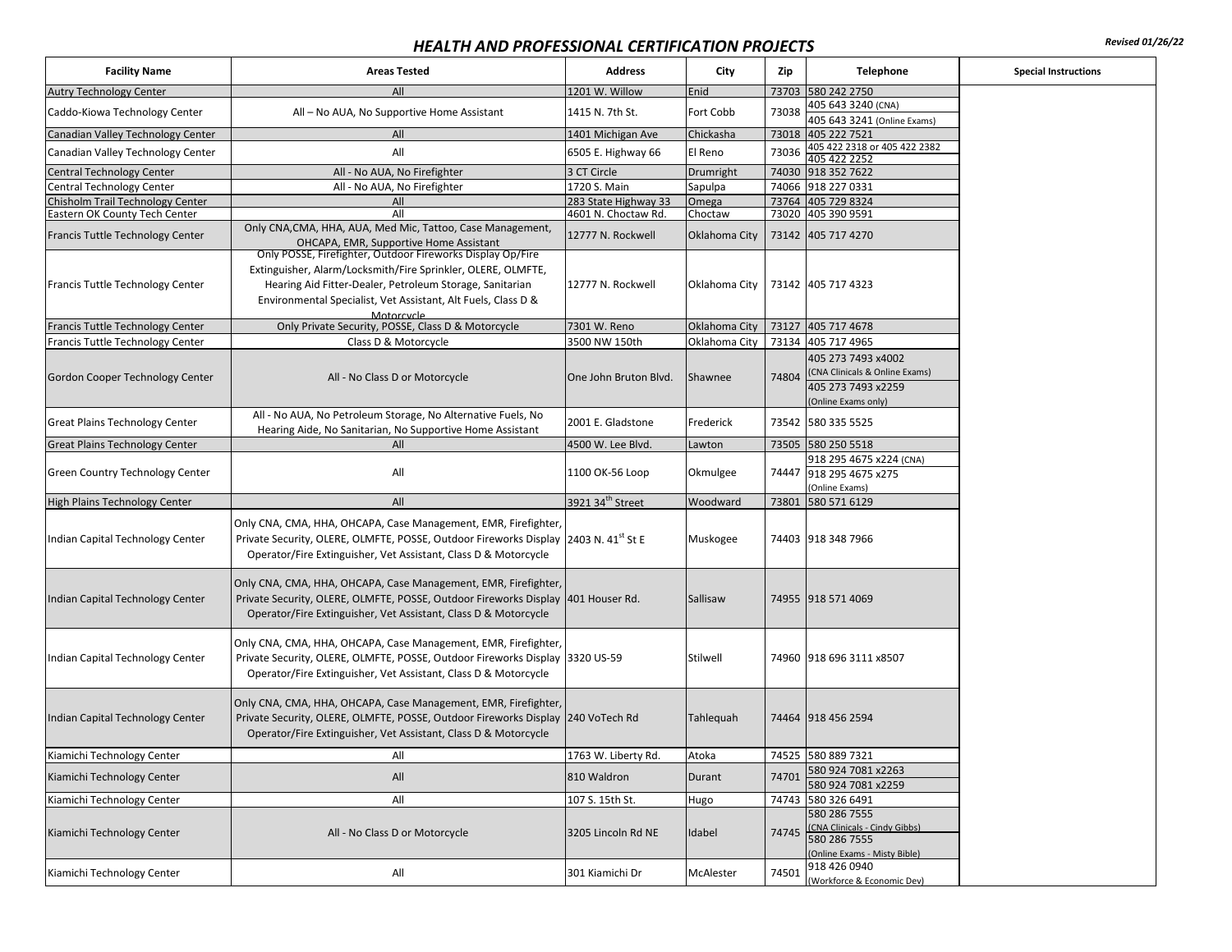## *HEALTH AND PROFESSIONAL CERTIFICATION PROJECTS Revised 01/26/22*

| <b>Facility Name</b>                  | <b>Areas Tested</b>                                                                                                                                                                                                                                                   | <b>Address</b>               | City          | Zip   | Telephone                                                                                         | <b>Special Instructions</b> |
|---------------------------------------|-----------------------------------------------------------------------------------------------------------------------------------------------------------------------------------------------------------------------------------------------------------------------|------------------------------|---------------|-------|---------------------------------------------------------------------------------------------------|-----------------------------|
| <b>Autry Technology Center</b>        | All                                                                                                                                                                                                                                                                   | 1201 W. Willow               | Enid          |       | 73703 580 242 2750                                                                                |                             |
| Caddo-Kiowa Technology Center         | All - No AUA, No Supportive Home Assistant                                                                                                                                                                                                                            | 1415 N. 7th St.              | Fort Cobb     | 73038 | 405 643 3240 (CNA)<br>405 643 3241 (Online Exams)                                                 |                             |
| Canadian Valley Technology Center     | All                                                                                                                                                                                                                                                                   | 1401 Michigan Ave            | Chickasha     | 73018 | 405 222 7521                                                                                      |                             |
| Canadian Valley Technology Center     | All                                                                                                                                                                                                                                                                   | 6505 E. Highway 66           | El Reno       | 73036 | 405 422 2318 or 405 422 2382<br>405 422 2252                                                      |                             |
| <b>Central Technology Center</b>      | All - No AUA, No Firefighter                                                                                                                                                                                                                                          | 3 CT Circle                  | Drumright     |       | 74030 918 352 7622                                                                                |                             |
| Central Technology Center             | All - No AUA, No Firefighter                                                                                                                                                                                                                                          | 1720 S. Main                 | Sapulpa       |       | 74066 918 227 0331                                                                                |                             |
| Chisholm Trail Technology Center      | All                                                                                                                                                                                                                                                                   | 283 State Highway 33         | Omega         |       | 73764 405 729 8324                                                                                |                             |
| Eastern OK County Tech Center         | All                                                                                                                                                                                                                                                                   | 4601 N. Choctaw Rd.          | Choctaw       |       | 73020 405 390 9591                                                                                |                             |
| Francis Tuttle Technology Center      | Only CNA, CMA, HHA, AUA, Med Mic, Tattoo, Case Management,<br>OHCAPA, EMR, Supportive Home Assistant                                                                                                                                                                  | 12777 N. Rockwell            | Oklahoma City |       | 73142 405 717 4270                                                                                |                             |
| Francis Tuttle Technology Center      | Only POSSE, Firefighter, Outdoor Fireworks Display Op/Fire<br>Extinguisher, Alarm/Locksmith/Fire Sprinkler, OLERE, OLMFTE,<br>Hearing Aid Fitter-Dealer, Petroleum Storage, Sanitarian<br>Environmental Specialist, Vet Assistant, Alt Fuels, Class D &<br>Motorcycle | 12777 N. Rockwell            | Oklahoma City |       | 73142 405 717 4323                                                                                |                             |
| Francis Tuttle Technology Center      | Only Private Security, POSSE, Class D & Motorcycle                                                                                                                                                                                                                    | 7301 W. Reno                 | Oklahoma City |       | 73127 405 717 4678                                                                                |                             |
| Francis Tuttle Technology Center      | Class D & Motorcycle                                                                                                                                                                                                                                                  | 3500 NW 150th                | Oklahoma City |       | 73134 405 717 4965                                                                                |                             |
| Gordon Cooper Technology Center       | All - No Class D or Motorcycle                                                                                                                                                                                                                                        | One John Bruton Blvd.        | Shawnee       | 74804 | 405 273 7493 x4002<br>(CNA Clinicals & Online Exams)<br>405 273 7493 x2259<br>(Online Exams only) |                             |
| <b>Great Plains Technology Center</b> | All - No AUA, No Petroleum Storage, No Alternative Fuels, No<br>Hearing Aide, No Sanitarian, No Supportive Home Assistant                                                                                                                                             | 2001 E. Gladstone            | Frederick     |       | 73542 580 335 5525                                                                                |                             |
| <b>Great Plains Technology Center</b> | All                                                                                                                                                                                                                                                                   | 4500 W. Lee Blvd.            | Lawton        |       | 73505 580 250 5518                                                                                |                             |
|                                       |                                                                                                                                                                                                                                                                       |                              |               |       | 918 295 4675 x224 (CNA)                                                                           |                             |
| Green Country Technology Center       | All                                                                                                                                                                                                                                                                   | 1100 OK-56 Loop              | Okmulgee      |       | 74447 918 295 4675 x275                                                                           |                             |
|                                       |                                                                                                                                                                                                                                                                       |                              |               |       | Online Exams)                                                                                     |                             |
| High Plains Technology Center         | All                                                                                                                                                                                                                                                                   | 3921 34 <sup>th</sup> Street | Woodward      | 73801 | 580 571 6129                                                                                      |                             |
| Indian Capital Technology Center      | Only CNA, CMA, HHA, OHCAPA, Case Management, EMR, Firefighter,<br>Private Security, OLERE, OLMFTE, POSSE, Outdoor Fireworks Display 2403 N. 41st St E<br>Operator/Fire Extinguisher, Vet Assistant, Class D & Motorcycle                                              |                              | Muskogee      |       | 74403 918 348 7966                                                                                |                             |
| Indian Capital Technology Center      | Only CNA, CMA, HHA, OHCAPA, Case Management, EMR, Firefighter,<br>Private Security, OLERE, OLMFTE, POSSE, Outdoor Fireworks Display 401 Houser Rd.<br>Operator/Fire Extinguisher, Vet Assistant, Class D & Motorcycle                                                 |                              | Sallisaw      |       | 74955 918 571 4069                                                                                |                             |
| Indian Capital Technology Center      | Only CNA, CMA, HHA, OHCAPA, Case Management, EMR, Firefighter,<br>Private Security, OLERE, OLMFTE, POSSE, Outdoor Fireworks Display 3320 US-59<br>Operator/Fire Extinguisher, Vet Assistant, Class D & Motorcycle                                                     |                              | Stilwell      |       | 74960 918 696 3111 x8507                                                                          |                             |
| Indian Capital Technology Center      | Only CNA, CMA, HHA, OHCAPA, Case Management, EMR, Firefighter,<br>Private Security, OLERE, OLMFTE, POSSE, Outdoor Fireworks Display 240 VoTech Rd<br>Operator/Fire Extinguisher, Vet Assistant, Class D & Motorcycle                                                  |                              | Tahlequah     |       | 74464 918 456 2594                                                                                |                             |
| Kiamichi Technology Center            | All                                                                                                                                                                                                                                                                   | 1763 W. Liberty Rd.          | Atoka         |       | 74525 580 889 7321                                                                                |                             |
| Kiamichi Technology Center            | All                                                                                                                                                                                                                                                                   | 810 Waldron                  | Durant        | 74701 | 580 924 7081 x2263<br>580 924 7081 x2259                                                          |                             |
| Kiamichi Technology Center            | All                                                                                                                                                                                                                                                                   | 107 S. 15th St.              | Hugo          |       | 74743 580 326 6491                                                                                |                             |
|                                       |                                                                                                                                                                                                                                                                       |                              |               |       | 580 286 7555                                                                                      |                             |
| Kiamichi Technology Center            | All - No Class D or Motorcycle                                                                                                                                                                                                                                        | 3205 Lincoln Rd NE           | Idabel        |       | 74745 CNA Clinicals - Cindy Gibbs)<br>(Online Exams - Misty Bible)                                |                             |
| Kiamichi Technology Center            | All                                                                                                                                                                                                                                                                   | 301 Kiamichi Dr              | McAlester     | 74501 | 918 426 0940<br>(Workforce & Economic Dev)                                                        |                             |